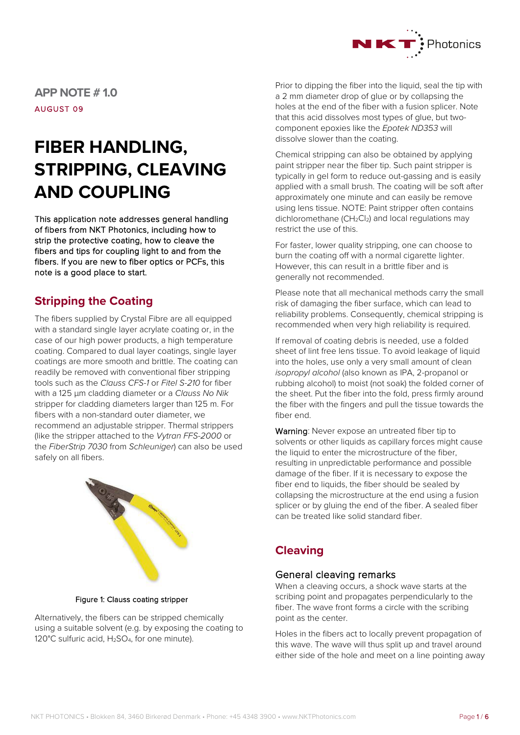

**APP NOTE # 1.0** AUGUST 09

# **FIBER HANDLING, STRIPPING, CLEAVING AND COUPLING**

This application note addresses general handling of fibers from NKT Photonics, including how to strip the protective coating, how to cleave the fibers and tips for coupling light to and from the fibers. If you are new to fiber optics or PCFs, this note is a good place to start.

# **Stripping the Coating**

The fibers supplied by Crystal Fibre are all equipped with a standard single layer acrylate coating or, in the case of our high power products, a high temperature coating. Compared to dual layer coatings, single layer coatings are more smooth and brittle. The coating can readily be removed with conventional fiber stripping tools such as the *Clauss CFS-1* or *Fitel S-210* for fiber with a 125 μm cladding diameter or a *Clauss No Nik*  stripper for cladding diameters larger than 125 m. For fibers with a non-standard outer diameter, we recommend an adjustable stripper. Thermal strippers (like the stripper attached to the *Vytran FFS-2000* or the *FiberStrip 7030* from *Schleuniger*) can also be used safely on all fibers.



Figure 1: Clauss coating stripper

Alternatively, the fibers can be stripped chemically using a suitable solvent (e.g. by exposing the coating to 120°C sulfuric acid, H<sub>2</sub>SO<sub>4</sub>, for one minute).

Prior to dipping the fiber into the liquid, seal the tip with a 2 mm diameter drop of glue or by collapsing the holes at the end of the fiber with a fusion splicer. Note that this acid dissolves most types of glue, but twocomponent epoxies like the *Epotek ND353* will dissolve slower than the coating.

Chemical stripping can also be obtained by applying paint stripper near the fiber tip. Such paint stripper is typically in gel form to reduce out-gassing and is easily applied with a small brush. The coating will be soft after approximately one minute and can easily be remove using lens tissue. NOTE: Paint stripper often contains dichloromethane  $(CH_2Cl_2)$  and local regulations may restrict the use of this.

For faster, lower quality stripping, one can choose to burn the coating off with a normal cigarette lighter. However, this can result in a brittle fiber and is generally not recommended.

Please note that all mechanical methods carry the small risk of damaging the fiber surface, which can lead to reliability problems. Consequently, chemical stripping is recommended when very high reliability is required.

If removal of coating debris is needed, use a folded sheet of lint free lens tissue. To avoid leakage of liquid into the holes, use only a very small amount of clean *isopropyl alcohol* (also known as IPA, 2-propanol or rubbing alcohol) to moist (not soak) the folded corner of the sheet. Put the fiber into the fold, press firmly around the fiber with the fingers and pull the tissue towards the fiber end.

Warning: Never expose an untreated fiber tip to solvents or other liquids as capillary forces might cause the liquid to enter the microstructure of the fiber, resulting in unpredictable performance and possible damage of the fiber. If it is necessary to expose the fiber end to liquids, the fiber should be sealed by collapsing the microstructure at the end using a fusion splicer or by gluing the end of the fiber. A sealed fiber can be treated like solid standard fiber.

# **Cleaving**

# General cleaving remarks

When a cleaving occurs, a shock wave starts at the scribing point and propagates perpendicularly to the fiber. The wave front forms a circle with the scribing point as the center.

Holes in the fibers act to locally prevent propagation of this wave. The wave will thus split up and travel around either side of the hole and meet on a line pointing away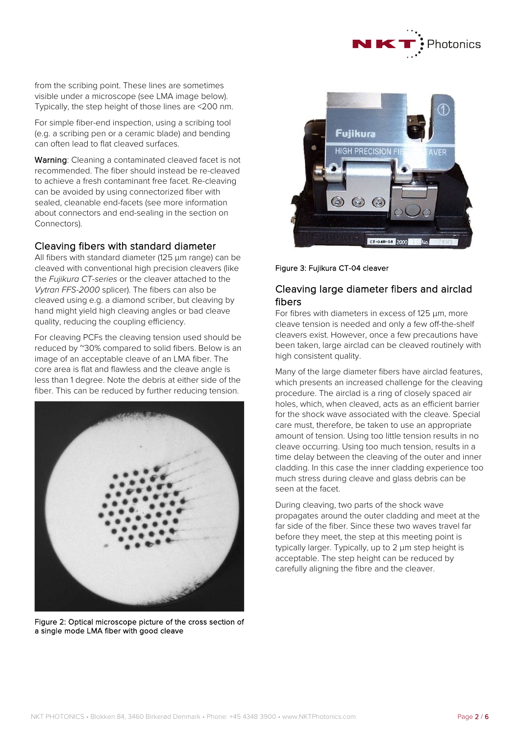

from the scribing point. These lines are sometimes visible under a microscope (see LMA image below). Typically, the step height of those lines are <200 nm.

For simple fiber-end inspection, using a scribing tool (e.g. a scribing pen or a ceramic blade) and bending can often lead to flat cleaved surfaces.

Warning: Cleaning a contaminated cleaved facet is not recommended. The fiber should instead be re-cleaved to achieve a fresh contaminant free facet. Re-cleaving can be avoided by using connectorized fiber with sealed, cleanable end-facets (see more information about connectors and end-sealing in the section on Connectors).

#### Cleaving fibers with standard diameter

All fibers with standard diameter (125 μm range) can be cleaved with conventional high precision cleavers (like the *Fujikura CT-series* or the cleaver attached to the *Vytran FFS-2000* splicer). The fibers can also be cleaved using e.g. a diamond scriber, but cleaving by hand might yield high cleaving angles or bad cleave quality, reducing the coupling efficiency.

For cleaving PCFs the cleaving tension used should be reduced by ~30% compared to solid fibers. Below is an image of an acceptable cleave of an LMA fiber. The core area is flat and flawless and the cleave angle is less than 1 degree. Note the debris at either side of the fiber. This can be reduced by further reducing tension.



Figure 2: Optical microscope picture of the cross section of a single mode LMA fiber with good cleave



Figure 3: Fujikura CT-04 cleaver

#### Cleaving large diameter fibers and airclad fibers

For fibres with diameters in excess of 125 μm, more cleave tension is needed and only a few off-the-shelf cleavers exist. However, once a few precautions have been taken, large airclad can be cleaved routinely with high consistent quality.

Many of the large diameter fibers have airclad features, which presents an increased challenge for the cleaving procedure. The airclad is a ring of closely spaced air holes, which, when cleaved, acts as an efficient barrier for the shock wave associated with the cleave. Special care must, therefore, be taken to use an appropriate amount of tension. Using too little tension results in no cleave occurring. Using too much tension, results in a time delay between the cleaving of the outer and inner cladding. In this case the inner cladding experience too much stress during cleave and glass debris can be seen at the facet.

During cleaving, two parts of the shock wave propagates around the outer cladding and meet at the far side of the fiber. Since these two waves travel far before they meet, the step at this meeting point is typically larger. Typically, up to 2 μm step height is acceptable. The step height can be reduced by carefully aligning the fibre and the cleaver.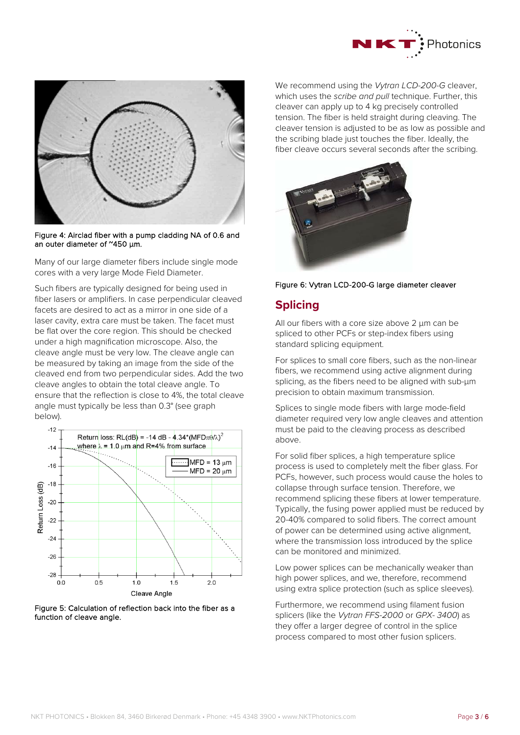



Figure 4: Airclad fiber with a pump cladding NA of 0.6 and an outer diameter of ~450 μm.

Many of our large diameter fibers include single mode cores with a very large Mode Field Diameter.

Such fibers are typically designed for being used in fiber lasers or amplifiers. In case perpendicular cleaved facets are desired to act as a mirror in one side of a laser cavity, extra care must be taken. The facet must be flat over the core region. This should be checked under a high magnification microscope. Also, the cleave angle must be very low. The cleave angle can be measured by taking an image from the side of the cleaved end from two perpendicular sides. Add the two cleave angles to obtain the total cleave angle. To ensure that the reflection is close to 4%, the total cleave angle must typically be less than 0.3° (see graph below).



Figure 5: Calculation of reflection back into the fiber as a function of cleave angle.

We recommend using the *Vytran LCD-200-G* cleaver, which uses the *scribe and pull* technique. Further, this cleaver can apply up to 4 kg precisely controlled tension. The fiber is held straight during cleaving. The cleaver tension is adjusted to be as low as possible and the scribing blade just touches the fiber. Ideally, the fiber cleave occurs several seconds after the scribing.



Figure 6: Vytran LCD-200-G large diameter cleaver

# **Splicing**

All our fibers with a core size above 2 μm can be spliced to other PCFs or step-index fibers using standard splicing equipment.

For splices to small core fibers, such as the non-linear fibers, we recommend using active alignment during splicing, as the fibers need to be aligned with sub-μm precision to obtain maximum transmission.

Splices to single mode fibers with large mode-field diameter required very low angle cleaves and attention must be paid to the cleaving process as described above.

For solid fiber splices, a high temperature splice process is used to completely melt the fiber glass. For PCFs, however, such process would cause the holes to collapse through surface tension. Therefore, we recommend splicing these fibers at lower temperature. Typically, the fusing power applied must be reduced by 20-40% compared to solid fibers. The correct amount of power can be determined using active alignment, where the transmission loss introduced by the splice can be monitored and minimized.

Low power splices can be mechanically weaker than high power splices, and we, therefore, recommend using extra splice protection (such as splice sleeves).

Furthermore, we recommend using filament fusion splicers (like the *Vytran FFS-2000* or *GPX- 3400*) as they offer a larger degree of control in the splice process compared to most other fusion splicers.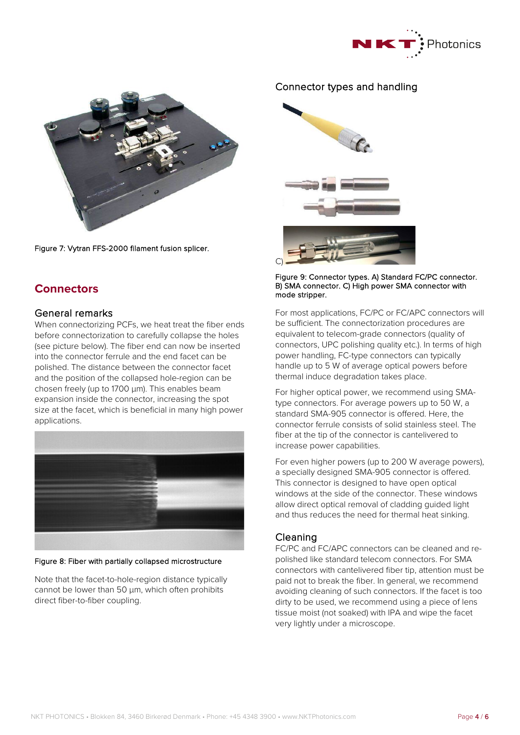



Figure 7: Vytran FFS-2000 filament fusion splicer.

# **Connectors**

# General remarks

When connectorizing PCFs, we heat treat the fiber ends before connectorization to carefully collapse the holes (see picture below). The fiber end can now be inserted into the connector ferrule and the end facet can be polished. The distance between the connector facet and the position of the collapsed hole-region can be chosen freely (up to 1700 μm). This enables beam expansion inside the connector, increasing the spot size at the facet, which is beneficial in many high power applications.



Figure 8: Fiber with partially collapsed microstructure

Note that the facet-to-hole-region distance typically cannot be lower than 50 μm, which often prohibits direct fiber-to-fiber coupling.

# Connector types and handling



#### Figure 9: Connector types. A) Standard FC/PC connector. B) SMA connector. C) High power SMA connector with mode stripper.

For most applications, FC/PC or FC/APC connectors will be sufficient. The connectorization procedures are equivalent to telecom-grade connectors (quality of connectors, UPC polishing quality etc.). In terms of high power handling, FC-type connectors can typically handle up to 5 W of average optical powers before thermal induce degradation takes place.

For higher optical power, we recommend using SMAtype connectors. For average powers up to 50 W, a standard SMA-905 connector is offered. Here, the connector ferrule consists of solid stainless steel. The fiber at the tip of the connector is cantelivered to increase power capabilities.

For even higher powers (up to 200 W average powers), a specially designed SMA-905 connector is offered. This connector is designed to have open optical windows at the side of the connector. These windows allow direct optical removal of cladding guided light and thus reduces the need for thermal heat sinking.

# Cleaning

FC/PC and FC/APC connectors can be cleaned and repolished like standard telecom connectors. For SMA connectors with cantelivered fiber tip, attention must be paid not to break the fiber. In general, we recommend avoiding cleaning of such connectors. If the facet is too dirty to be used, we recommend using a piece of lens tissue moist (not soaked) with IPA and wipe the facet very lightly under a microscope.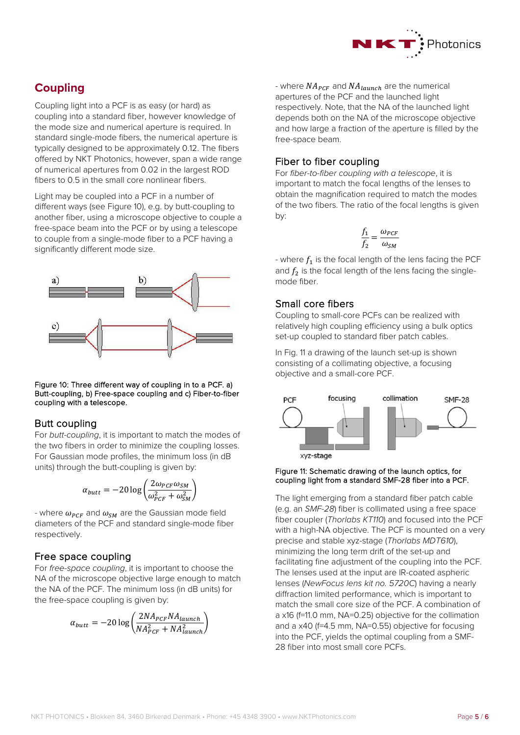

# **Coupling**

Coupling light into a PCF is as easy (or hard) as coupling into a standard fiber, however knowledge of the mode size and numerical aperture is required. In standard single-mode fibers, the numerical aperture is typically designed to be approximately 0.12. The fibers offered by NKT Photonics, however, span a wide range of numerical apertures from 0.02 in the largest ROD fibers to 0.5 in the small core nonlinear fibers.

Light may be coupled into a PCF in a number of different ways (see Figure 10), e.g. by butt-coupling to another fiber, using a microscope objective to couple a free-space beam into the PCF or by using a telescope to couple from a single-mode fiber to a PCF having a significantly different mode size.



#### Figure 10: Three different way of coupling in to a PCF. a) Butt-coupling, b) Free-space coupling and c) Fiber-to-fiber coupling with a telescope.

# Butt coupling

For *butt-coupling*, it is important to match the modes of the two fibers in order to minimize the coupling losses. For Gaussian mode profiles, the minimum loss (in dB units) through the butt-coupling is given by:

$$
\alpha_{butt} = -20 \log \left( \frac{2 \omega_{PCF} \omega_{SM}}{\omega_{PCF}^2 + \omega_{SM}^2} \right)
$$

- where  $\omega_{PCF}$  and  $\omega_{SM}$  are the Gaussian mode field diameters of the PCF and standard single-mode fiber respectively.

# Free space coupling

For *free-space coupling*, it is important to choose the NA of the microscope objective large enough to match the NA of the PCF. The minimum loss (in dB units) for the free-space coupling is given by:

$$
\alpha_{butt} = -20 \log \left( \frac{2 N A_{PCF} N A_{launch}}{N A_{PCF}^2 + N A_{launch}^2} \right)
$$

- where  $NA_{PCF}$  and  $NA_{launch}$  are the numerical apertures of the PCF and the launched light respectively. Note, that the NA of the launched light depends both on the NA of the microscope objective and how large a fraction of the aperture is filled by the free-space beam.

# Fiber to fiber coupling

For *fiber-to-fiber coupling with a telescope*, it is important to match the focal lengths of the lenses to obtain the magnification required to match the modes of the two fibers. The ratio of the focal lengths is given by:

$$
\frac{f_1}{f_2} = \frac{\omega_{PCF}}{\omega_{SM}}
$$

- where  $f_1$  is the focal length of the lens facing the PCF and  $f_2$  is the focal length of the lens facing the singlemode fiber.

# Small core fibers

Coupling to small-core PCFs can be realized with relatively high coupling efficiency using a bulk optics set-up coupled to standard fiber patch cables.

In Fig. 11 a drawing of the launch set-up is shown consisting of a collimating objective, a focusing objective and a small-core PCF.



#### Figure 11: Schematic drawing of the launch optics, for coupling light from a standard SMF-28 fiber into a PCF.

The light emerging from a standard fiber patch cable (e.g. an *SMF-28*) fiber is collimated using a free space fiber coupler (*Thorlabs KT110*) and focused into the PCF with a high-NA objective. The PCF is mounted on a very precise and stable xyz-stage (*Thorlabs MDT610*), minimizing the long term drift of the set-up and facilitating fine adjustment of the coupling into the PCF. The lenses used at the input are IR-coated aspheric lenses (*NewFocus lens kit no. 5720C*) having a nearly diffraction limited performance, which is important to match the small core size of the PCF. A combination of a x16 (f=11.0 mm, NA=0.25) objective for the collimation and a x40 (f=4.5 mm, NA=0.55) objective for focusing into the PCF, yields the optimal coupling from a SMF-28 fiber into most small core PCFs.